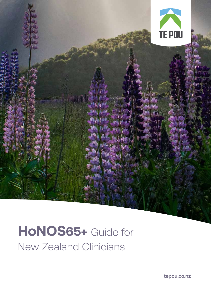

# **HoNOS65+** Guide for New Zealand Clinicians

**tepou.co.nz**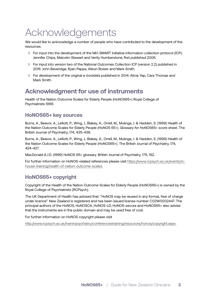# Acknowledgements

We would like to acknowledge a number of people who have contributed to the development of the resources.

- › For input into the development of the MH-SMART Initiative information collection protocol (ICP): Jennifer Chips, Malcolm Stewart and Verity Humberstone, first published 2006.
- › For input into version two of the National Outcomes Collection ICP (version 2.2) published in 2015: John Beveridge, Ryan Papps, Alison Bower and Mark Smith.
- › For development of the original e-booklets published in 2014: Alicia Yap, Cara Thomas and Mark Smith.

# **Acknowledgment for use of instruments**

Health of the Nation Outcome Scales for Elderly People (HoNOS65+) Royal College of Psychiatrists 1999.

#### **HoNOS65+ key sources**

Burns, A., Beevor, A., Lelliott, P., Wing, J., Blakey, A., Orrell, M., Mulinga, J. & Hadden, S. (1999) Health of the Nation Outcome Scales for Elderly People (HoNOS 65+). Glossary for HoNOS65+ score sheet. The British Journal of Psychiatry, 174, 435-438.

Burns, A., Beevor, A., Lelliott, P., Wing, J., Blakey, A., Orrell, M., Mulinga, J. & Hadden, S. (1999) Health of the Nation Outcome Scales for Elderly People (HoNOS65+). The British Journal of Psychiatry, 174, 424-427.

MacDonald A.J.D. (1999) HoNOS 65+ glossary. British Journal of Psychiatry, 175, 192.

For further information on HoNOS-related references please visit https://www.rcpsych.ac.uk/events/inhouse-training/health-of-nation-outcome-scales.

## **HoNOS65+ copyright**

Copyright of the Health of the Nation Outcome Scales for Elderly People (HoNOS65+) is owned by the Royal College of Psychiatrists (RCPsych).

The UK Department of Health has advised that: "HoNOS may be reused in any format, free of charge under licence". New Zealand is registered and has been issued license number C02W0002447. The principal authors of the HoNOS, HoNOSCA, HoNOS-LD, HoNOS-secure and HoNOS65+ also advise that the instruments are in the public domain and may be used free of cost.

For further information on HoNOS copyright please visit

http://www.rcpsych.ac.uk/traininpsychiatry/conferencestraining/resources/honos/copyright.aspx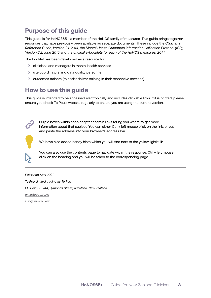# **Purpose of this guide**

This guide is for HoNOS65+, a member of the HoNOS family of measures. This guide brings together resources that have previously been available as separate documents. These include the *Clinician's Reference Guide, Version 2.1, 2014,* the *Mental Health Outcomes Information Collection Protocol (ICP), Version 2.2, June 2015* and the *original e-booklets for each of the HoNOS measures, 2014.*

The booklet has been developed as a resource for:

- › clinicians and managers in mental health services
- › site coordinators and data quality personnel
- › outcomes trainers (to assist deliver training in their respective services).

# **How to use this guide**

This guide is intended to be accessed electronically and includes clickable links. If it is printed, please ensure you check Te Pou's website regularly to ensure you are using the current version.



Purple boxes within each chapter contain links telling you where to get more information about that subject. You can either Ctrl + left mouse click on the link, or cut and paste the address into your browser's address bar.



We have also added handy hints which you will find next to the yellow lightbulb.

You can also use the contents page to navigate within the response. Ctrl + left mouse click on the heading and you will be taken to the corresponding page.

*Published April 2021 Te Pou Limited trading as Te Pou PO Box 108-244, Symonds Street, Auckland, New Zealand www.tepou.co.nz*

*info@tepou.co.nz*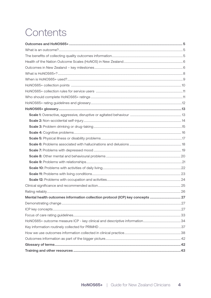# Contents

| Mental health outcomes information collection protocol (ICP) key concepts  27 |  |
|-------------------------------------------------------------------------------|--|
|                                                                               |  |
|                                                                               |  |
|                                                                               |  |
|                                                                               |  |
|                                                                               |  |
|                                                                               |  |
|                                                                               |  |
|                                                                               |  |
|                                                                               |  |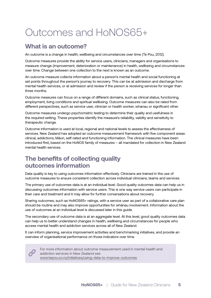# Outcomes and HoNOS65+

# **What is an outcome?**

An outcome is a change in health, wellbeing and circumstances over time (Te Pou, 2012).

Outcome measures provide the ability for service users, clinicians, managers and organisations to measure change (improvement, deterioration or maintenance) in health, wellbeing and circumstances over time. Change between one collection to the next is known as an outcome.

An outcome measure collects information about a person's mental health and social functioning at set points throughout the person's journey to recovery. This can be at admission and discharge from mental health services, or at admission and review if the person is receiving services for longer than three months.

Outcome measures can focus on a range of different domains, such as clinical status, functioning, employment, living conditions and spiritual wellbeing. Outcome measures can also be rated from different perspectives, such as service user, clinician or health worker, whanau or significant other.

Outcome measures undergo psychometric testing to determine their quality and usefulness in the required setting. These properties identify the measure's reliability, validity and sensitivity to therapeutic change.

Outcome information is used at local, regional and national levels to assess the effectiveness of services. New Zealand has adopted an outcome measurement framework with five component areas: clinical, addictions, Māori, self-rated and functioning information. The clinical measures have been introduced first, based on the HoNOS family of measures – all mandated for collection in New Zealand mental health services.

# **The benefits of collecting quality outcomes information**

Data quality is key to using outcomes information effectively. Clinicians are trained in the use of outcome measures to ensure consistent collection across individual clinicians, teams and services.

The primary use of outcomes data is at an individual level. Good quality outcomes data can help us in discussing outcomes information with service users. This is one way service users can participate in their care and treatment and it may allow for further conversations about recovery.

Sharing outcomes, such as HoNOS65+ ratings, with a service user as part of a collaborative care plan should be routine and may also improve opportunities for whānau involvement. Information about the use of outcomes at an individual level is discussed later in this guide.

The secondary use of outcome data is at an aggregate level. At this level, good quality outcomes data can help us to better understand changes in health, wellbeing and circumstances for people who access mental health and addiction services across all of New Zealand.

It can inform planning, service improvement activities and benchmarking initiatives, and provide an overview of organisational performance on those indicators over time.



For more information about outcome measurement used in mental health and addiction services in New Zealand see www.tepou.co.nz/initiatives/using-data-to-improve-outcomes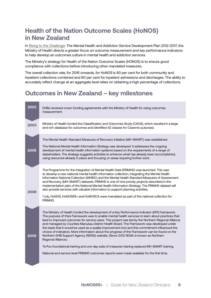# **Health of the Nation Outcome Scales (HoNOS) in New Zealand**

In *Rising to the Challenge*: The Mental Health and Addiction Service Development Plan 2012-2017, the Ministry of Health directs a greater focus on outcome measurement and key performance indicators to help develop an outcomes culture in mental health and addiction services.

The Ministry's strategy for Health of the Nation Outcome Scales (HONOS) is to ensure good compliance with collections before introducing other mandated measures.

The overall collection rate, for 2016 onwards, for HoNOS is 80 per cent for both community and inpatient collections combined and 80 per cent for inpatient admissions and discharges. The ability to accurately reflect change at an aggregate level relies on obtaining a high percentage of collections.

# **Outcomes in New Zealand – key milestones**

| 2002 | DHBs received crown funding agreements with the Ministry of Health for using outcomes<br>measurement.                                                                                                                                                                                                                                                                                                                                                                                                                                                                                                                                                                                                                                                                                                                                                                                                                    |
|------|--------------------------------------------------------------------------------------------------------------------------------------------------------------------------------------------------------------------------------------------------------------------------------------------------------------------------------------------------------------------------------------------------------------------------------------------------------------------------------------------------------------------------------------------------------------------------------------------------------------------------------------------------------------------------------------------------------------------------------------------------------------------------------------------------------------------------------------------------------------------------------------------------------------------------|
| 2003 | Ministry of Health funded the Classification and Outcomes Study (CAOS), which resulted in a large<br>and rich database for outcomes and identified 42 classes for Casemix purposes.                                                                                                                                                                                                                                                                                                                                                                                                                                                                                                                                                                                                                                                                                                                                      |
| 2005 | The Mental Health Standard Measures of Recovery Initiative (MH-SMART) was established.<br>The National Mental Health Information Strategy was developed. It addresses the ongoing<br>development of mental health information systems based on the requirements of a range of<br>stakeholders. The strategy suggests activities to enhance what has already been accomplished,<br>using resources already in place and focusing on areas requiring further work.                                                                                                                                                                                                                                                                                                                                                                                                                                                         |
| 2008 | The Programme for the Integration of Mental Health Data (PRIMHD) was launched. This was<br>to develop a new national mental health information collection, integrating the Mental Health<br>Information National Collection (MHINC) and the Mental Health Standard Measures of Assessment<br>and Recovery (MH-SMART) datasets. PRIMHD is one of nine priority projects described in the<br>implementation plan of the National Mental Health Information Strategy. The PRIMHD dataset will<br>also provide services with valuable information to support planning activities.<br>1 July, HoNOS, HoNOS65+ and HoNOSCA were mandated as part of the national collection for<br>PRIMHD.                                                                                                                                                                                                                                     |
| 2009 | The Ministry of Health funded the development of a Key Performance Indicator (KPI) Framework.<br>The purpose of thizs Framework was to enable mental health services to learn about practices that<br>lead to improved outcomes for service users. This project was led by the Northern Regional Alliance<br>and managed by Counties Manukau District Health Board. The Framework was developed under<br>the basis that it would be used as a quality improvement tool and this commitment influenced the<br>choice of indicators. More information about the progress of the Framework can be found on the<br>Northern DHB Support Agency (NDSA) website. (Since 2012 NDSA is known as Northern<br>Regional Alliance.)<br>Te Pou foundational training and one-day suite of measures training replaced MH-SMART training.<br>National and service level PRIMHD outcomes reports were made available for the first time. |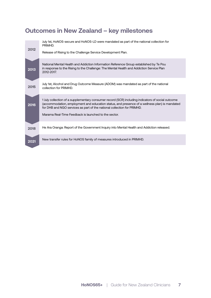# **Outcomes in New Zealand – key milestones**

| 2012 | July 1st, HoNOS-secure and HoNOS-LD were mandated as part of the national collection for<br>PRIMHD.<br>Release of Rising to the Challenge Service Development Plan.                                                                                                                                                                   |
|------|---------------------------------------------------------------------------------------------------------------------------------------------------------------------------------------------------------------------------------------------------------------------------------------------------------------------------------------|
| 2013 | National Mental Health and Addiction Information Reference Group established by Te Pou<br>in response to the Rising to the Challenge: The Mental Health and Addiction Service Plan<br>2012-2017.                                                                                                                                      |
| 2015 | July 1st, Alcohol and Drug Outcome Measure (ADOM) was mandated as part of the national<br>collection for PRIMHD.                                                                                                                                                                                                                      |
| 2016 | 1 July collection of a supplementary consumer record (SCR) including indicators of social outcome<br>(accommodation, employment and education status, and presence of a wellness plan) is mandated<br>for DHB and NGO services as part of the national collection for PRIMHD.<br>Marama Real-Time Feedback is launched to the sector. |
| 2018 | He Ara Oranga: Report of the Government Inquiry into Mental Health and Addiction released.                                                                                                                                                                                                                                            |
| 2021 | New transfer rules for HoNOS family of measures introduced in PRIMHD.                                                                                                                                                                                                                                                                 |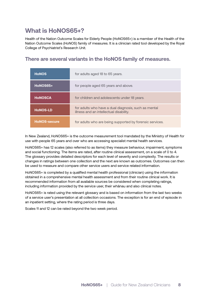# **What is HoNOS65+?**

Health of the Nation Outcome Scales for Elderly People (HoNOS65+) is a member of the Health of the Nation Outcome Scales (HoNOS) family of measures. It is a clinician rated tool developed by the Royal College of Psychiatrist's Research Unit.

### **There are several variants in the HoNOS family of measures.**

| <b>HoNOS</b>        | for adults aged 18 to 65 years.                                                                 |
|---------------------|-------------------------------------------------------------------------------------------------|
| HoNOS65+            | for people aged 65 years and above.                                                             |
| <b>HONOSCA</b>      | for children and adolescents under 18 years.                                                    |
| <b>HoNOS-LD</b>     | for adults who have a dual diagnosis, such as mental<br>illness and an intellectual disability. |
| <b>HoNOS-secure</b> | for adults who are being supported by forensic services.                                        |

In New Zealand, HoNOS65+ is the outcome measurement tool mandated by the Ministry of Health for use with people 65 years and over who are accessing specialist mental health services.

HoNOS65+ has 12 scales (also referred to as items) they measure behaviour, impairment, symptoms and social functioning. The items are rated, after routine clinical assessment, on a scale of 0 to 4. The glossary provides detailed descriptors for each level of severity and complexity. The results or changes in ratings between one collection and the next are known as outcomes. Outcomes can then be used to measure and compare other service users and service related information.

HoNOS65+ is completed by a qualified mental health professional (clinician) using the information obtained in a comprehensive mental health assessment and from their routine clinical work. It is recommended information from all available sources be considered when completing ratings, including information provided by the service user, their whānau and also clinical notes.

HoNOS65+ is rated using the relevant glossary and is based on information from the last two weeks of a service user's presentation at all collection occasions. The exception is for an end of episode in an inpatient setting, where the rating period is three days.

Scales 11 and 12 can be rated beyond the two week period.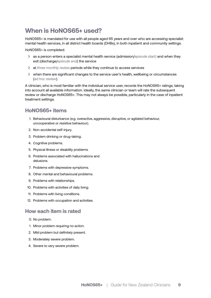# **When is HoNOS65+ used?**

HoNOS65+ is mandated for use with all people aged 65 years and over who are accessing specialist mental health services, in all district health boards (DHBs), in both inpatient and community settings.

HoNOS65+ is completed:

- › as a person enters a specialist mental health service (admission/*episode start)* and when they exit (discharge/*episode end*) the service
- › at *three monthly review* periods while they continue to access services
- › when there are significant changes to the service user's health, wellbeing or circumstances (*ad hoc review*).

A clinician, who is most familiar with the individual service user, records the HoNOS65+ ratings, taking into account all available information. Ideally, the same clinician or team will rate the subsequent review or discharge HoNOS65+. This may not always be possible, particularly in the case of inpatient treatment settings.

#### **HoNOS65+ items**

- 1. Behavioural disturbance (e.g. overactive, aggressive, disruptive, or agitated behaviour, uncooperative or resistive behaviour).
- 2. Non-accidental self-injury.
- 3. Problem drinking or drug-taking.
- 4. Cognitive problems.
- 5. Physical illness or disability problems.
- 6. Problems associated with hallucinations and delusions.
- 7. Problems with depressive symptoms.
- 8. Other mental and behavioural problems.
- 9. Problems with relationships.
- 10. Problems with activities of daily living.
- 11. Problems with living conditions.
- 12. Problems with occupation and activities.

#### **How each item is rated**

- 0. No problem.
- 1. Minor problem requiring no action.
- 2. Mild problem but definitely present.
- 3. Moderately severe problem.
- 4. Severe to very severe problem.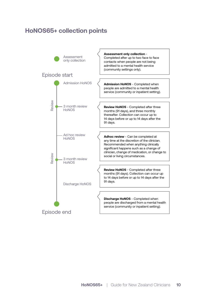# **HoNOS65+ collection points**

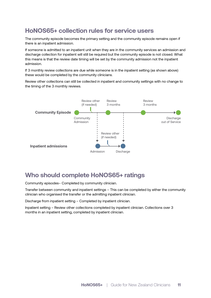# **HoNOS65+ collection rules for service users**

The community episode becomes the primary setting and the community episode remains open if there is an inpatient admission.

If someone is admitted to an inpatient unit when they are in the community services an admission and discharge collection for inpatient will still be required but the community episode is not closed. What this means is that the review date timing will be set by the community admission not the inpatient admission.

If 3 monthly review collections are due while someone is in the inpatient setting (as shown above) these would be completed by the community clinicians.

Review other collections can still be collected in inpatient and community settings with no change to the timing of the 3 monthly reviews.



# **Who should complete HoNOS65+ ratings**

Community episodes– Completed by community clinician.

Transfer between community and inpatient settings – This can be completed by either the community clinician who organised the transfer or the admitting inpatient clinician.

Discharge from inpatient setting – Completed by inpatient clinician.

Inpatient setting – Review other collections completed by inpatient clinician. Collections over 3 months in an inpatient setting, completed by inpatient clinician.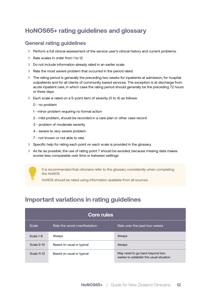# **HoNOS65+ rating guidelines and glossary**

#### **General rating guidelines**

- › Perform a full clinical assessment of the service user's clinical history and current problems.
- › Rate scales in order from 1 to 12.
- › Do not include information already rated in an earlier scale.
- › Rate the most severe problem that occurred in the period rated.
- › The rating period is generally the preceding two weeks for inpatients at admission, for hospital outpatients and for all clients of community based services. The exception is at discharge from acute inpatient care, in which case the rating period should generally be the preceding 72 hours or three days.
- › Each scale is rated on a 5-point item of severity (0 to 4) as follows:
	- 0 no problem
	- 1 minor problem requiring no formal action
	- 2 mild problem, should be recorded in a care plan or other case record
	- 3 problem of moderate severity
	- 4 severe to very severe problem
	- 7 not known or not able to rate.
- › Specific help for rating each point on each scale is provided in the glossary.
- › As far as possible, the use of rating point 7 should be avoided, because missing data makes scores less comparable over time or between settings.

It is recommended that clinicians refer to the glossary consistently when completing the HoNOS.

HoNOS should be rated using information available from all sources.

# **Important variations in rating guidelines**

| <b>Core rules</b> |                              |                                                                          |
|-------------------|------------------------------|--------------------------------------------------------------------------|
| Scale             | Rate the worst manifestation | Rate over the past two weeks                                             |
| Scale 1-8         | Always                       | Always                                                                   |
| Scale 9-10        | Based on usual or typical    | Always                                                                   |
| Scale 11-12       | Based on usual or typical    | May need to go back beyond two<br>weeks to establish the usual situation |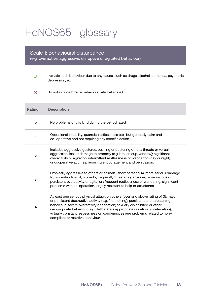# HoNOS65+ glossary

#### Scale 1**:** Behavioural disturbance

(e.g. overactive, aggressive, disruptive or agitated behaviour)



**Include** such behaviour due to any cause, such as drugs, alcohol, dementia, psychosis, depression, etc.

 $\overline{\mathbf{x}}$ Do not include bizarre behaviour, rated at scale 6.

| <b>Rating</b> | <b>Description</b>                                                                                                                                                                                                                                                                                                                                                                                                                                                |
|---------------|-------------------------------------------------------------------------------------------------------------------------------------------------------------------------------------------------------------------------------------------------------------------------------------------------------------------------------------------------------------------------------------------------------------------------------------------------------------------|
| O             | No problems of this kind during the period rated.                                                                                                                                                                                                                                                                                                                                                                                                                 |
| 1             | Occasional irritability, quarrels, restlessness etc., but generally calm and<br>co-operative and not requiring any specific action.                                                                                                                                                                                                                                                                                                                               |
| 2             | Includes aggressive gestures, pushing or pestering others; threats or verbal<br>aggression; lesser damage to property (e.g. broken cup, window); significant<br>overactivity or agitation; intermittent restlessness or wandering (day or night);<br>uncooperative at times, requiring encouragement and persuasion.                                                                                                                                              |
| 3             | Physically aggressive to others or animals (short of rating 4); more serious damage<br>to, or destruction of, property; frequently threatening manner, more serious or<br>persistent overactivity or agitation; frequent restlessness or wandering; significant<br>problems with co-operation, largely resistant to help or assistance.                                                                                                                           |
| 4             | At least one serious physical attack on others (over and above rating of 3); major<br>or persistent destructive activity (e.g. fire-setting); persistent and threatening<br>behaviour; severe overactivity or agitation; sexually disinhibited or other<br>inappropriate behaviour (e.g. deliberate inappropriate urination or defecation);<br>virtually constant restlessness or wandering; severe problems related to non-<br>compliant or resistive behaviour. |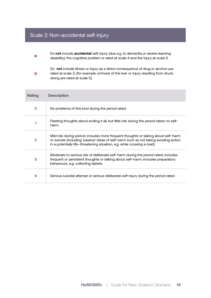# Scale 2: Non-accidental self-injury

- Do **not** include **accidental** self-injury (due e.g. to dementia or severe learning  $\boldsymbol{\times}$ disability); the cognitive problem is rated at scale 4 and the injury at scale 5.
- Do **not** include illness or injury as a direct consequence of drug or alcohol use rated at scale 3, (for example cirrhosis of the liver or injury resulting from drunk  $\overline{\mathbf{x}}$ diving are rated at scale 5).

| Rating         | <b>Description</b>                                                                                                                                                                                                                                        |
|----------------|-----------------------------------------------------------------------------------------------------------------------------------------------------------------------------------------------------------------------------------------------------------|
| $\Omega$       | No problems of this kind during the period rated.                                                                                                                                                                                                         |
|                | Fleeting thoughts about ending it all, but little risk during the period rated; no self-<br>harm.                                                                                                                                                         |
| $\overline{2}$ | Mild risk during period; includes more frequent thoughts or talking about self-harm<br>or suicide (including 'passive' ideas of self-harm such as not taking avoiding action<br>in a potentially life-threatening situation, e.g. while crossing a road). |
| 3              | Moderate to serious risk of deliberate self-harm during the period rated; includes<br>frequent or persistent thoughts or talking about self-harm; includes preparatory<br>behaviours, e.g. collecting tablets.                                            |
| 4              | Serious suicidal attempt or serious deliberate self-injury during the period rated.                                                                                                                                                                       |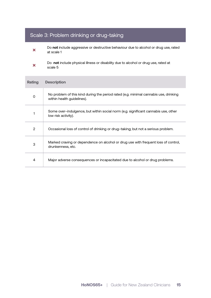# Scale 3: Problem drinking or drug-taking

- Do **not** include aggressive or destructive behaviour due to alcohol or drug use, rated  $\boldsymbol{\times}$ at scale 1
- Do **not** include physical illness or disability due to alcohol or drug use, rated at  $\overline{\mathbf{x}}$ scale 5

| Rating | <b>Description</b>                                                                                                 |
|--------|--------------------------------------------------------------------------------------------------------------------|
| O      | No problem of this kind during the period rated (e.g. minimal cannabis use, drinking<br>within health guidelines). |
|        | Some over-indulgence, but within social norm (e.g. significant cannabis use, other<br>low risk activity).          |
| 2      | Occasional loss of control of drinking or drug-taking; but not a serious problem.                                  |
| 3      | Marked craving or dependence on alcohol or drug use with frequent loss of control,<br>drunkenness, etc.            |
| 4      | Major adverse consequences or incapacitated due to alcohol or drug problems.                                       |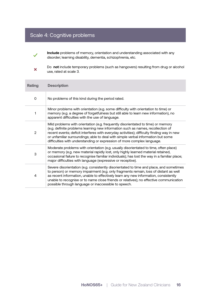# Scale 4: Cognitive problems



 $\overline{\mathbf{x}}$ 

**Include** problems of memory, orientation and understanding associated with any disorder; learning disability, dementia, schizophrenia, etc.

Do **not** include temporary problems (such as hangovers) resulting from drug or alcohol use, rated at scale 3.

| Rating | <b>Description</b>                                                                                                                                                                                                                                                                                                                                                                                                               |
|--------|----------------------------------------------------------------------------------------------------------------------------------------------------------------------------------------------------------------------------------------------------------------------------------------------------------------------------------------------------------------------------------------------------------------------------------|
| 0      | No problems of this kind during the period rated.                                                                                                                                                                                                                                                                                                                                                                                |
| 1      | Minor problems with orientation (e.g. some difficulty with orientation to time) or<br>memory (e.g. a degree of forgetfulness but still able to learn new information), no<br>apparent difficulties with the use of language.                                                                                                                                                                                                     |
| 2      | Mild problems with orientation (e.g. frequently disorientated to time) or memory<br>(e.g. definite problems learning new information such as names, recollection of<br>recent events; deficit interferes with everyday activities); difficulty finding way in new<br>or unfamiliar surroundings; able to deal with simple verbal information but some<br>difficulties with understanding or expression of more complex language. |
| 3      | Moderate problems with orientation (e.g. usually disorientated to time, often place)<br>or memory (e.g. new material rapidly lost, only highly learned material retained,<br>occasional failure to recognise familiar individuals); has lost the way in a familiar place;<br>major difficulties with language (expressive or receptive).                                                                                         |
| 4      | Severe disorientation (e.g. consistently disorientated to time and place, and sometimes<br>to person) or memory impairment (e.g. only fragments remain, loss of distant as well<br>as recent information, unable to effectively learn any new information, consistently<br>unable to recognise or to name close friends or relatives); no effective communication<br>possible through language or inaccessible to speech.        |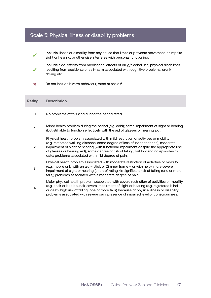## Scale 5: Physical illness or disability problems

- **Include** illness or disability from any cause that limits or prevents movement, or impairs sight or hearing, or otherwise interferes with personal functioning.
- **Include** side-effects from medication; effects of drug/alcohol use; physical disabilities resulting from accidents or self-harm associated with cognitive problems, drunk driving etc.
- $\overline{\mathbf{x}}$ Do not include bizarre behaviour, rated at scale 6.

| Rating         | <b>Description</b>                                                                                                                                                                                                                                                                                                                                                                                                 |
|----------------|--------------------------------------------------------------------------------------------------------------------------------------------------------------------------------------------------------------------------------------------------------------------------------------------------------------------------------------------------------------------------------------------------------------------|
| 0              | No problems of this kind during the period rated.                                                                                                                                                                                                                                                                                                                                                                  |
| 1              | Minor health problem during the period (e.g. cold); some impairment of sight or hearing<br>(but still able to function effectively with the aid of glasses or hearing aid).                                                                                                                                                                                                                                        |
| $\overline{2}$ | Physical health problem associated with mild restriction of activities or mobility<br>(e.g. restricted walking distance, some degree of loss of independence); moderate<br>impairment of sight or hearing (with functional impairment despite the appropriate use<br>of glasses or hearing aid); some degree of risk of falling, but low and no episodes to<br>date; problems associated with mild degree of pain. |
| 3              | Physical health problem associated with moderate restriction of activities or mobility<br>(e.g. mobile only with an aid - stick or Zimmer frame - or with help); more severe<br>impairment of sight or hearing (short of rating 4); significant risk of falling (one or more<br>falls); problems associated with a moderate degree of pain.                                                                        |
| 4              | Major physical health problem associated with severe restriction of activities or mobility<br>(e.g. chair or bed bound); severe impairment of sight or hearing (e.g. registered blind<br>or deaf); high risk of falling (one or more falls) because of physical illness or disability;<br>problems associated with severe pain; presence of impaired level of consciousness.                                       |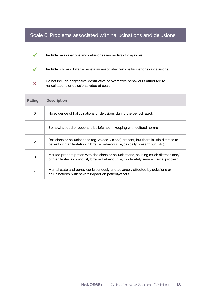## Scale 6: Problems associated with hallucinations and delusions

- $\checkmark$ **Include** hallucinations and delusions irrespective of diagnosis.
- $\checkmark$ **Include** odd and bizarre behaviour associated with hallucinations or delusions.
- Do not include aggressive, destructive or overactive behaviours attributed to  $\overline{\mathbf{x}}$ hallucinations or delusions, rated at scale 1.

| Rating         | <b>Description</b>                                                                                                                                                             |
|----------------|--------------------------------------------------------------------------------------------------------------------------------------------------------------------------------|
| 0              | No evidence of hallucinations or delusions during the period rated.                                                                                                            |
|                | Somewhat odd or eccentric beliefs not in keeping with cultural norms.                                                                                                          |
| $\overline{2}$ | Delusions or hallucinations (eg. voices, visions) present, but there is little distress to<br>patient or manifestation in bizarre behaviour (ie, clinically present but mild). |
| 3              | Marked preoccupation with delusions or hallucinations, causing much distress and/<br>or manifested in obviously bizarre behaviour (ie, moderately severe clinical problem).    |
| 4              | Mental state and behaviour is seriously and adversely affected by delusions or<br>hallucinations, with severe impact on patient/others.                                        |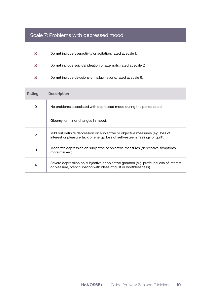# Scale 7: Problems with depressed mood

- Do **not** include overactivity or agitation, rated at scale 1.  $\boldsymbol{\mathsf{x}}$
- Do **not** include suicidal ideation or attempts, rated at scale 2.  $\overline{\mathbf{x}}$
- Do **not** include delusions or hallucinations, rated at scale 6.  $\boldsymbol{\mathsf{x}}$

| Rating | <b>Description</b>                                                                                                                                               |
|--------|------------------------------------------------------------------------------------------------------------------------------------------------------------------|
| 0      | No problems associated with depressed mood during the period rated.                                                                                              |
|        | Gloomy; or minor changes in mood.                                                                                                                                |
| 2      | Mild but definite depression on subjective or objective measures (e.g. loss of<br>interest or pleasure, lack of energy, loss of self-esteem, feelings of guilt). |
| 3      | Moderate depression on subjective or objective measures (depressive symptoms<br>more marked).                                                                    |
| 4      | Severe depression on subjective or objective grounds (e.g. profound loss of interest<br>or pleasure, preoccupation with ideas of quilt or worthlessness).        |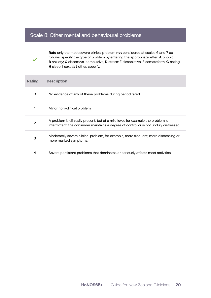## Scale 8: Other mental and behavioural problems



**Rate** only the most severe clinical problem **not** considered at scales 6 and 7 as follows: specify the type of problem by entering the appropriate letter: **A** phobic; **B** anxiety; **C** obsessive-compulsive; **D** stress; E dissociative; **F** somatoform; **G** eating; **H** sleep; **I** sexual; **J** other, specify.

| Rating         | <b>Description</b>                                                                                                                                                        |
|----------------|---------------------------------------------------------------------------------------------------------------------------------------------------------------------------|
| 0              | No evidence of any of these problems during period rated.                                                                                                                 |
|                | Minor non-clinical problem.                                                                                                                                               |
| $\overline{2}$ | A problem is clinically present, but at a mild level, for example the problem is<br>intermittent, the consumer maintains a degree of control or is not unduly distressed. |
| 3              | Moderately severe clinical problem, for example, more frequent, more distressing or<br>more marked symptoms.                                                              |
| 4              | Severe persistent problems that dominates or seriously affects most activities.                                                                                           |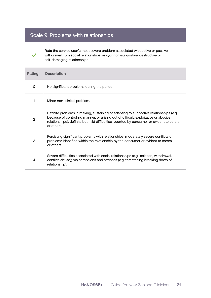# Scale 9: Problems with relationships

 $\checkmark$ 

**Rate** the service user's most severe problem associated with active or passive withdrawal from social relationships, and/or non-supportive, destructive or self-damaging relationships.

| Rating       | <b>Description</b>                                                                                                                                                                                                                                                                     |
|--------------|----------------------------------------------------------------------------------------------------------------------------------------------------------------------------------------------------------------------------------------------------------------------------------------|
| 0            | No significant problems during the period.                                                                                                                                                                                                                                             |
| 1            | Minor non-clinical problem.                                                                                                                                                                                                                                                            |
| $\mathbf{2}$ | Definite problems in making, sustaining or adapting to supportive relationships (e.g.<br>because of controlling manner, or arising out of difficult, exploitative or abusive<br>relationships), definite but mild difficulties reported by consumer or evident to carers<br>or others. |
| З            | Persisting significant problems with relationships; moderately severe conflicts or<br>problems identified within the relationship by the consumer or evident to carers<br>or others.                                                                                                   |
| 4            | Severe difficulties associated with social relationships (e.g. isolation, withdrawal,<br>conflict, abuse); major tensions and stresses (e.g. threatening breaking down of<br>relationship).                                                                                            |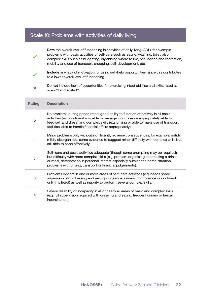# Scale 10: Problems with activities of daily living

|                | Rate the overall level of functioning in activities of daily living (ADL), for example<br>problems with basic activities of self-care such as eating, washing, toilet; also<br>complex skills such as budgeting, organising where to live, occupation and recreation,<br>mobility and use of transport, shopping, self-development, etc. |
|----------------|------------------------------------------------------------------------------------------------------------------------------------------------------------------------------------------------------------------------------------------------------------------------------------------------------------------------------------------|
|                | Include any lack of motivation for using self-help opportunities, since this contributes<br>to a lower overall level of functioning                                                                                                                                                                                                      |
| ×              | Do not include lack of opportunities for exercising intact abilities and skills, rated at<br>scale 11 and scale 12.                                                                                                                                                                                                                      |
| Rating         | <b>Description</b>                                                                                                                                                                                                                                                                                                                       |
| $\mathbf 0$    | No problems during period rated; good ability to function effectively in all basic<br>activities (e.g. continent - or able to manage incontinence appropriately, able to<br>feed self and dress) and complex skills (e.g. driving or able to make use of transport<br>facilities, able to handle financial affairs appropriately).       |
| 1              | Minor problems only without significantly adverse consequences, for example, untidy,<br>mildly disorganised, some evidence to suggest minor difficulty with complex skills but<br>still able to cope effectively.                                                                                                                        |
| $\overline{2}$ | Self-care and basic activities adequate (though some prompting may be required),<br>but difficulty with more complex skills (e.g. problem organising and making a drink<br>or meal, deterioration in personal interest especially outside the home situation,<br>problems with driving, transport or financial judgements).              |
| 3              | Problems evident in one or more areas of self-care activities (e.g. needs some<br>supervision with dressing and eating, occasional urinary incontinence or continent<br>only if toileted) as well as inability to perform several complex skills.                                                                                        |
| 4              | Severe disability or incapacity in all or nearly all areas of basic and complex skills<br>(e.g. full supervision required with dressing and eating, frequent urinary or faecal<br>incontinence).                                                                                                                                         |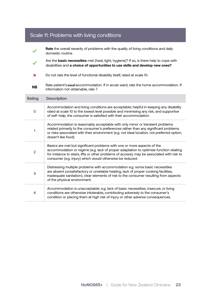|                     | Rate the overall severity of problems with the quality of living conditions and daily<br>domestic routine.                                                                                                                                                                                                                 |
|---------------------|----------------------------------------------------------------------------------------------------------------------------------------------------------------------------------------------------------------------------------------------------------------------------------------------------------------------------|
|                     | Are the <b>basic necessities</b> met (heat, light, hygiene)? If so, is there help to cope with<br>disabilities and a choice of opportunities to use skills and develop new ones?                                                                                                                                           |
| ×                   | Do not rate the level of functional disability itself, rated at scale 10.                                                                                                                                                                                                                                                  |
| <b>NB</b>           | Rate patient's usual accommodation. If in acute ward, rate the home accommodation. If<br>information not obtainable, rate 7.                                                                                                                                                                                               |
| <b>Rating</b>       | <b>Description</b>                                                                                                                                                                                                                                                                                                         |
| $\mathsf{O}\xspace$ | Accommodation and living conditions are acceptable; helpful in keeping any disability<br>rated at scale 10 to the lowest level possible and minimising any risk, and supportive<br>of self-help; the consumer is satisfied with their accommodation.                                                                       |
| 1                   | Accommodation is reasonably acceptable with only minor or transient problems<br>related primarily to the consumer's preferences rather than any significant problems<br>or risks associated with their environment (e.g. not ideal location, not preferred option,<br>doesn't like food).                                  |
| $\overline{2}$      | Basics are met but significant problems with one or more aspects of the<br>accommodation or regime (e.g. lack of proper adaptation to optimise function relating<br>for instance to stairs, lifts or other problems of access); may be associated with risk to<br>consumer (e.g. injury) which would otherwise be reduced. |
| 3                   | Distressing multiple problems with accommodation e.g. some basic necessities<br>are absent (unsatisfactory or unreliable heating, lack of proper cooking facilities,<br>inadequate sanitation); clear elements of risk to the consumer resulting from aspects<br>of the physical environment.                              |
| 4                   | Accommodation is unacceptable: e.g. lack of basic necessities, insecure, or living<br>conditions are otherwise intolerable, contributing adversely to the consumer's<br>condition or placing them at high risk of injury or other adverse consequences.                                                                    |

# Scale 11: Problems with living conditions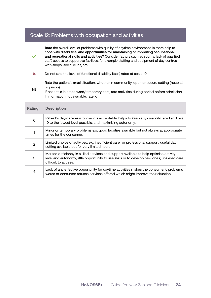#### Scale 12: Problems with occupation and activities

**Rate** the overall level of problems with quality of daytime environment. Is there help to cope with disabilities, **and opportunities for maintaining or improving occupational and recreational skills and activities?** Consider factors such as stigma, lack of qualified staff, access to supportive facilities, for example staffing and equipment of day centres, workshops, social clubs, etc.

 $\mathbf{x}$ Do not rate the level of functional disability itself, rated at scale 10.

Rate the patient's **usual** situation, whether in community, open or secure setting (hospital or prison).

**NB** If patient is in acute ward/temporary care, rate activities during period before admission. If information not available, rate 7.

| Rating | <b>Description</b>                                                                                                                                                                                           |
|--------|--------------------------------------------------------------------------------------------------------------------------------------------------------------------------------------------------------------|
| 0      | Patient's day-time environment is acceptable; helps to keep any disability rated at Scale<br>10 to the lowest level possible, and maximising autonomy.                                                       |
|        | Minor or temporary problems e.g. good facilities available but not always at appropriate<br>times for the consumer.                                                                                          |
| 2      | Limited choice of activities; e.g. insufficient carer or professional support, useful day<br>setting available but for very limited hours.                                                                   |
| 3      | Marked deficiency in skilled services and support available to help optimise activity<br>level and autonomy, little opportunity to use skills or to develop new ones; unskilled care<br>difficult to access. |
| 4      | Lack of any effective opportunity for daytime activities makes the consumer's problems<br>worse or consumer refuses services offered which might improve their situation.                                    |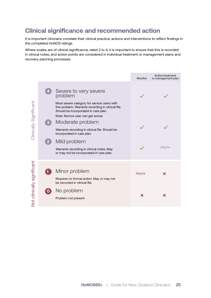# **Clinical significance and recommended action**

It is important clinicians correlate their clinical practice, actions and interventions to reflect findings in the completed HoNOS ratings.

Where scales are of clinical significance, rated 2 to 4, it is important to ensure that this is recorded in clinical notes, and action points are considered in individual treatment or management plans and recovery planning processes.

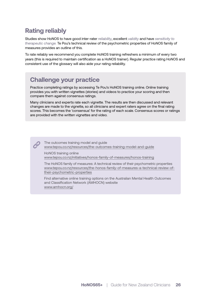# **Rating reliably**

Studies show HoNOS to have good inter-rater *reliability*, excellent *validity* and have *sensitivity to therapeutic change.* Te Pou's technical review of the psychometric properties of HoNOS family of measures provides an outline of this.

To rate reliably we recommend you complete HoNOS training refreshers a minimum of every two years (this is required to maintain certification as a HoNOS trainer). Regular practice rating HoNOS and consistent use of the glossary will also aide your rating reliability.

# **Challenge your practice**

Practice completing ratings by accessing Te Pou's HoNOS training online. Online training provides you with written vignettes (stories) and videos to practice your scoring and then compare them against consensus ratings.

Many clinicians and experts rate each vignette. The results are then discussed and relevant changes are made to the vignette, so all clinicians and expert raters agree on the final rating scores. This becomes the 'consensus' for the rating of each scale. Consensus scores or ratings are provided with the written vignettes and video.

The outcomes training model and guide www.tepou.co.nz/resources/the-outcomes-training-model-and-guide

HoNOS training online www.tepou.co.nz/initiatives/honos-family-of-measures/honos-training

The HoNOS family of measures: A technical review of their psychometric properties www.tepou.co.nz/resources/the-honos-family-of-measures-a-technical-review-oftheir-psychometric-properties

Find alternative online training options on the Australian Mental Health Outcomes and Classification Network (AMHOCN) website www.amhocn.org/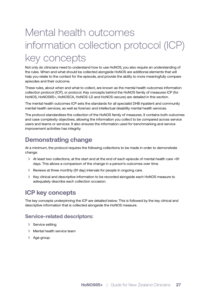# Mental health outcomes information collection protocol (ICP) key concepts

Not only do clinicians need to understand how to use HoNOS, you also require an understanding of the rules. When and what should be collected alongside HoNOS are additional elements that will help you relate to the context for the episode, and provide the ability to more meaningfully compare episodes and their outcome.

These rules, about when and what to collect, are known as the mental health outcomes information collection protocol (ICP), or protocol. Key concepts behind the HoNOS family of measures ICP (for HoNOS, HoNOS65+, HoNOSCA, HoNOS-LD and HoNOS-secure) are detailed in this section.

The mental health outcomes ICP sets the standards for all specialist DHB inpatient and community mental health services, as well as forensic and intellectual disability mental health services.

The protocol standardises the collection of the HoNOS family of measures. It contains both outcomes and case complexity objectives, allowing the information you collect to be compared across service users and teams or services. It also ensures the information used for benchmarking and service improvement activities has integrity.

# **Demonstrating change**

At a minimum, the protocol requires the following collections to be made in order to demonstrate change.

- › At least two collections, at the start and at the end of each episode of mental health care <91 days. This allows a comparison of the change in a person's outcomes over time.
- › Reviews at three monthly (91 day) intervals for people in ongoing care.
- › Key clinical and descriptive information to be recorded alongside each HoNOS measure to adequately describe each collection occasion.

# **ICP key concepts**

The key concepts underpinning the ICP are detailed below. This is followed by the key clinical and descriptive information that is collected alongside the HoNOS measure.

#### **Service-related descriptors:**

- > Service setting
- › Mental health service team
- › Age group.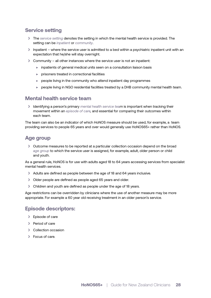#### **Service setting**

- › The *service setting* denotes the setting in which the mental health service is provided. The setting can be *inpatient* or *community*.
- › Inpatient where the service user is admitted to a bed within a psychiatric inpatient unit with an expectation that he/she will stay overnight.
- › Community all other instances where the service user is not an inpatient:
	- ▶ inpatients of general medical units seen on a consultation liaison basis
	- ▶ prisoners treated in correctional facilities
	- ▶ people living in the community who attend inpatient day programmes
	- ▶ people living in NGO residential facilities treated by a DHB community mental health team.

#### **Mental health service team**

› Identifying a person's primary *mental health service team* is important when tracking their movement within an *episode of care,* and essential for comparing their outcomes within each team.

The team can also be an indicator of which HoNOS measure should be used, for example, a team providing services to people 65 years and over would generally use HoNOS65+ rather than HoNOS.

### **Age group**

› Outcome measures to be reported at a particular collection occasion depend on the broad *age group* to which the service user is assigned, for example, adult, older person or child and youth.

As a general rule, HoNOS is for use with adults aged 18 to 64 years accessing services from specialist mental health services.

- › Adults are defined as people between the age of 18 and 64 years inclusive.
- › Older people are defined as people aged 65 years and older.
- › Children and youth are defined as people under the age of 18 years.

Age restrictions can be overridden by clinicians where the use of another measure may be more appropriate. For example a 60 year old receiving treatment in an older person's service.

#### **Episode descriptors:**

- > Episode of care
- › Period of care
- › Collection occasion
- › Focus of care.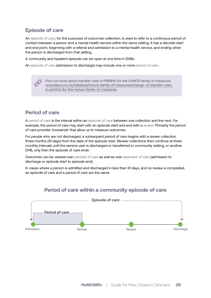## **Episode of care**

An *episode of care*, for the purposes of outcomes collection, is used to refer to a continuous period of contact between a person and a mental health service within the same setting. It has a discrete start and end point, beginning with a referral and admission to a mental health service, and ending when the person is discharged from that setting.

A community and inpatient episode can be open at one time in DHBs.

An *episode of care* (admission to discharge) may include one or more *period of care*.

Find out more about transfer rules in PRIMHD for the HoNOS family of measures www.tepou.co.nz/initiatives/honos-family-of-measures/change-of-transfer-rulesin-primhd-for-the-honos-family-of-measures

### **Period of care**

A *period of care* is the interval within an *episode of care* between one collection and the next. For example, the period of care may start with an *episode start* and end with a *review*. Primarily the period of care provides 'bookends' that allow us to measure outcomes.

For people who are not discharged, a subsequent period of care begins with a review collection three months (91 days) from the date of the episode start. Review collections then continue at three monthly intervals until the service user is discharged or transferred to community setting, or another DHB, only then the episode of care ends.

Outcomes can be viewed over *periods of care* as well as over *episodes of care* (admission to discharge or episode start to episode end).

In cases where a person is admitted and discharged in less than 91 days, and no review is completed, an episode of care and a period of care are the same.

#### **Period of care within a community episode of care**

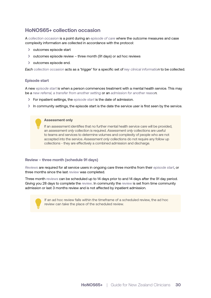## **HoNOS65+ collection occasion**

A *collection occasion* is a point during an *episode of care* where the outcome measures and case complexity information are collected in accordance with the protocol:

- › outcomes episode start
- › outcomes episode review three month (91 days) or ad hoc reviews
- > outcomes episode end.

*Each collection occasion* acts as a 'trigger' for a specific set of *key clinical information* to be collected.

#### **Episode start**

A new *episode start* is when a person commences treatment with a mental health service. This may be *a new referral, a transfer from another setting* or an *admission for another reason.*

- › For inpatient settings, the *episode start* is the date of admission.
- In community settings, the episode start is the date the service user is first seen by the service.

#### **Assessment only**

If an assessment identifies that no further mental health service care will be provided, an *assessment only* collection is required. *Assessment only* collections are useful to teams and services to determine volumes and complexity of people who are not accepted into the service. *Assessment only* collections do not require any follow up collections - they are effectively a combined admission and discharge.

#### **Review – three month (schedule 91 days)**

*Reviews* are required for all service users in ongoing care three months from their *episode start*, or three months since the last *review* was completed.

Three month *reviews* can be scheduled up to 14 days prior to and 14 days after the 91 day period. Giving you 28 days to complete the *review*. In community the *review* is set from time community admission or last 3 months review and is not affected by inpatient admission.



If an ad hoc review falls within the timeframe of a scheduled review, the ad hoc review can take the place of the scheduled review.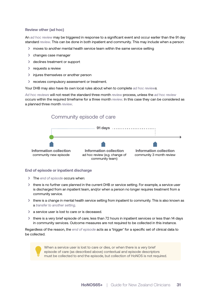#### **Review other (ad hoc)**

An *ad hoc review* may be triggered in response to a significant event and occur earlier than the 91 day standard *review*. This can be done in both inpatient and community. This may include when a person:

- › moves to another mental health service team within the same service setting
- › changes case manager
- › declines treatment or support
- > requests a review
- › injures themselves or another person
- › receives compulsory assessment or treatment.

Your DHB may also have its own local rules about when to complete *ad hoc reviews.*

*Ad hoc reviews* will not reset the standard three month *review* process, unless the *ad hoc review* occurs within the required timeframe for a three month *review*. In this case they can be considered as a planned three month *review*.



#### **End of episode or inpatient discharge**

- › The *end of episode* occurs when:
- › there is no further care planned in the current DHB or service setting. For example, a service user is discharged from an inpatient team, and/or when a person no longer requires treatment from a community service.
- › there is a change in mental health service setting from inpatient to community. This is also known as a *transfer to another setting*.
- › a service user is lost to care or is deceased.
- › there is a very brief episode of care; less than 72 hours in inpatient services or less than 14 days in community services. Outcome measures are not required to be collected in this instance.

Regardless of the reason, the *end of episode* acts as a 'trigger' for a specific set of clinical data to be collected.



When a service user is lost to care or dies, or when there is a very brief episode of care (as described above) contextual and episode descriptors must be collected to end the episode, but collection of HoNOS is not required.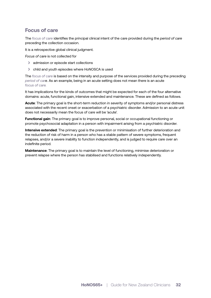### **Focus of care**

The *focus of care* identifies the principal clinical intent of the care provided during the *period of care* preceding the collection occasion.

It is a retrospective global clinical judgment.

*Focus of care* is not collected for

- › admission or episode start collections
- › child and youth episodes where HoNOSCA is used

The *focus of care* is based on the intensity and purpose of the services provided during the preceding *period of care*. As an example, being in an acute setting does not mean there is an acute *focus of care.*

It has implications for the kinds of outcomes that might be expected for each of the four alternative domains: acute, functional gain, intensive extended and maintenance. These are defined as follows.

**Acute**: The primary goal is the short-term reduction in severity of symptoms and/or personal distress associated with the recent onset or exacerbation of a psychiatric disorder. Admission to an acute unit does not necessarily mean the focus of care will be 'acute'.

**Functional gain**: The primary goal is to improve personal, social or occupational functioning or promote psychosocial adaptation in a person with impairment arising from a psychiatric disorder.

**Intensive extended**: The primary goal is the prevention or minimisation of further deterioration and the reduction of risk of harm in a person who has a stable pattern of severe symptoms, frequent relapses, and/or a severe inability to function independently, and is judged to require care over an indefinite period.

**Maintenance**: The primary goal is to maintain the level of functioning, minimise deterioration or prevent relapse where the person has stabilised and functions relatively independently.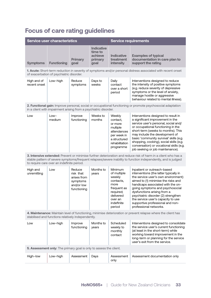# **Focus of care rating guidelines**

| <b>Service user characteristics</b> |                    |                        | <b>Service requirements</b>                                |                                                    |                                                                                   |
|-------------------------------------|--------------------|------------------------|------------------------------------------------------------|----------------------------------------------------|-----------------------------------------------------------------------------------|
| <b>Symptoms</b>                     | <b>Functioning</b> | <b>Primary</b><br>goal | <b>Indicative</b><br>time to<br>achieve<br>primary<br>goal | <b>Indicative</b><br>treatment<br><b>intensity</b> | <b>Examples of typical</b><br>documentation in care plan to<br>support the rating |

**1. Acute:** Short-term reduction in severity of symptoms and/or personal distress associated with recent onset of exacerbation of psychiatric disorder.

| High and of<br>recent onset | Low-high | Reduce<br>symptoms | Days to<br>weeks | Daily<br>contact<br>over a short<br>period | Interventions designed to reduce<br>the intensity of positive symptoms<br>(e.g. reduce severity of depressive<br>symptoms or the level of anxiety,<br>manage hostile or aggressive<br>behaviour related to mental illness). |
|-----------------------------|----------|--------------------|------------------|--------------------------------------------|-----------------------------------------------------------------------------------------------------------------------------------------------------------------------------------------------------------------------------|
|-----------------------------|----------|--------------------|------------------|--------------------------------------------|-----------------------------------------------------------------------------------------------------------------------------------------------------------------------------------------------------------------------------|

**2. Functional gain:** Improve personal, social or occupational functioning or promote psychosocial adaptation in a client with impairment arising from a psychiatric disorder.

| Low | Low-<br>medium | Improve<br>functioning | Weeks to<br>months | Weekly<br>contact.<br>or more<br>multiple<br>attendances<br>per week in<br>a structured<br>rehabilitation<br>programme | Interventions designed to result in<br>a significant improvement in the<br>service user's personal, social and/<br>or occupational functioning in the<br>short-term (weeks to months). This<br>may include the development of<br>basic 'community survival' skills (e.g.<br>shopping, cooking), social skills (e.g.<br>conversation) or vocational skills (e.g.<br>job seeking or job maintenance). |
|-----|----------------|------------------------|--------------------|------------------------------------------------------------------------------------------------------------------------|-----------------------------------------------------------------------------------------------------------------------------------------------------------------------------------------------------------------------------------------------------------------------------------------------------------------------------------------------------------------------------------------------------|
|-----|----------------|------------------------|--------------------|------------------------------------------------------------------------------------------------------------------------|-----------------------------------------------------------------------------------------------------------------------------------------------------------------------------------------------------------------------------------------------------------------------------------------------------------------------------------------------------------------------------------------------------|

**3. Intensive extended:** Prevent or minimise further deterioration and reduce risk of harm in a client who has a stable pattern of severe symptoms/frequent relapses/severe inability to function independently, and is judged to require care over an indefinite period.

| High and<br>unremitting | Low | Reduce<br>risk that<br>arises from<br>symptoms<br>and/or low<br>functioning | Months to<br>years | <b>Minimum</b><br>of multiple<br>weekly<br>contacts.<br>more<br>frequent as<br>required;<br>delivered<br>over an<br>indefinite<br>period | Inpatient or outreach-based<br>interventions (the latter typically in<br>the service user's own environment)<br>aimed to (1) minimise the risks and<br>handicaps associated with the on-<br>going symptoms and psychosocial<br>dysfunctions arising from a<br>psychiatric disorder (2) strengthen<br>the service user's capacity to use<br>supportive professional and non-<br>professional networks. |
|-------------------------|-----|-----------------------------------------------------------------------------|--------------------|------------------------------------------------------------------------------------------------------------------------------------------|-------------------------------------------------------------------------------------------------------------------------------------------------------------------------------------------------------------------------------------------------------------------------------------------------------------------------------------------------------------------------------------------------------|
|-------------------------|-----|-----------------------------------------------------------------------------|--------------------|------------------------------------------------------------------------------------------------------------------------------------------|-------------------------------------------------------------------------------------------------------------------------------------------------------------------------------------------------------------------------------------------------------------------------------------------------------------------------------------------------------------------------------------------------------|

**4. Maintenance:** Maintain level of functioning, minimise deterioration or prevent relapse where the client has stabilised and functions relatively independently.

| LOW | Low-high | Improve<br>functioning | Months to<br>years | Scheduled<br>weekly to<br>monthly<br>contact | Interventions designed to consolidate<br>the service user's current functioning<br>(at least in the short-term) while<br>working toward improvement in the<br>long-term or planning for the service<br>user's exit from the service. |
|-----|----------|------------------------|--------------------|----------------------------------------------|--------------------------------------------------------------------------------------------------------------------------------------------------------------------------------------------------------------------------------------|
|-----|----------|------------------------|--------------------|----------------------------------------------|--------------------------------------------------------------------------------------------------------------------------------------------------------------------------------------------------------------------------------------|

**5. Assessment only:** The primary goal is only to assess the client.

| High-low | Low-high | Assessment | Davs | Assessment<br>only | Assessment documentation only |
|----------|----------|------------|------|--------------------|-------------------------------|
|----------|----------|------------|------|--------------------|-------------------------------|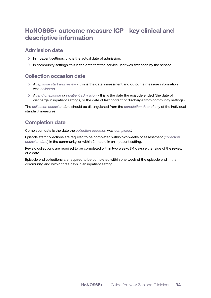# **HoNOS65+ outcome measure ICP - key clinical and descriptive information**

#### **Admission date**

- › In inpatient settings, this is the actual date of admission.
- In community settings, this is the date that the service user was first seen by the service.

#### **Collection occasion date**

- › At *episode start and review* this is the date assessment and outcome measure information was *collected*.
- › At *end of episode or inpatient admission*  this is the date the episode ended (the date of discharge in inpatient settings, or the date of last contact or discharge from community settings).

The *collection occasion date* should be distinguished from the *completion date* of any of the individual standard measures.

## **Completion date**

Completion date is the date the *collection occasion* was *completed.*

Episode start collections are required to be completed within two weeks of assessment (*collection occasion date*) in the community, or within 24 hours in an inpatient setting.

Review collections are required to be completed within two weeks (14 days) either side of the review due date.

Episode end collections are required to be completed within one week of the episode end in the community, and within three days in an inpatient setting.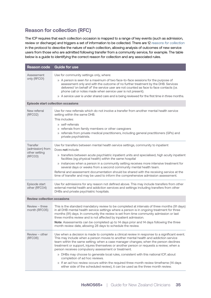## **Reason for collection (RFC)**

The ICP requires that each collection occasion is mapped to a range of key events (such as admission, review or discharge) and triggers a set of information to be collected. There are 12 *reasons for collection* in the protocol to describe the nature of each collection, allowing analysis of outcomes of new service users from those who are admitted following transfer from a community service, for example. The table below is a guide to identifying the correct reason for collection and any associated rules.

| <b>Reason code</b>                                              | <b>Guide for use</b>                                                                                                                                                                                                                                                                                                                                                                                                                                                                                                                                                                                                                                                                                                               |
|-----------------------------------------------------------------|------------------------------------------------------------------------------------------------------------------------------------------------------------------------------------------------------------------------------------------------------------------------------------------------------------------------------------------------------------------------------------------------------------------------------------------------------------------------------------------------------------------------------------------------------------------------------------------------------------------------------------------------------------------------------------------------------------------------------------|
| Assessment<br>only (RFC01)                                      | Use for community settings only, where:<br>» A person is seen for a maximum of two face-to-face sessions for the purpose of<br>assessment only and with the outcome of no further treatment by the DHB. Services<br>delivered 'on behalf of' the service user are not counted as face to face contacts (i.e.<br>phone call or notes made when service user is not present).<br>» A service user is under shared care and is being reviewed for the first time in three months.                                                                                                                                                                                                                                                     |
|                                                                 | <b>Episode start collection occasions</b>                                                                                                                                                                                                                                                                                                                                                                                                                                                                                                                                                                                                                                                                                          |
| New referral<br>(RFC02)                                         | Use for new referrals which do not involve a transfer from another mental health service<br>setting within the same DHB.<br>This includes:<br>» self-referrals<br>» referrals from family members or other caregivers<br>» referrals from private medical practitioners, including general practitioners (GPs) and<br>private psychiatrists.                                                                                                                                                                                                                                                                                                                                                                                       |
| <b>Transfer</b><br>(admission) from<br>other setting<br>(RFC03) | Use for transfers between mental health service settings, community to inpatient<br>Does not include:<br>» transfers between acute psychiatric inpatient units and specialised, high acuity inpatient<br>facilities (eg physical health) within the same hospital<br>» instances when a person in a community setting receives more intensive treatment for<br>several days or weeks from a second community mental health team.<br>Referral and assessment documentation should be shared with the receiving service at the<br>time of transfer and may be used to inform the comprehensive admission assessment.                                                                                                                 |
| Episode start<br>other (RFC04)                                  | Use for admissions for any reason not defined above. This may include transfers from other<br>external mental health and addiction services and settings including transfers from other<br>DHBs and private psychiatric hospitals.                                                                                                                                                                                                                                                                                                                                                                                                                                                                                                 |
| <b>Review collection occasions</b>                              |                                                                                                                                                                                                                                                                                                                                                                                                                                                                                                                                                                                                                                                                                                                                    |
| Review - three<br>month (RFC05)                                 | This is the standard mandatory review to be completed at intervals of three months (91 days)<br>in all DHB mental health service settings where a person is in ongoing treatment for three<br>months (91) days. In community the review is set from time community admission or last<br>three months review and is not affected by inpatient admission.<br>Note: Assessments can be completed up to 14 days prior and 14 days following the three<br>month review date, allowing 28 days to schedule the review.                                                                                                                                                                                                                   |
| Review – other<br>(RFC06)                                       | Use when a decision is made to complete a clinical review in response to a significant event.<br>This may include when a person moves to another mental health and addiction service<br>team within the same setting; when a case manager changes; when the person declines<br>treatment or support, injures themselves or another person or requests a review; when a<br>person receives compulsory assessment or treatment.<br>» DHBs may choose to generate local rules, consistent with this national ICP, about<br>completion of ad hoc reviews.<br>» If an ad hoc review occurs within the required three month review timeframe (14 days<br>either side of the scheduled review), it can be used as the three month review. |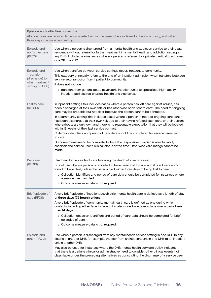#### **Episode end collection occasions**

All collections are required to be completed within one week of episode end in the community, and within three days in an inpatient setting.

| Episode end -<br>no further care<br>(RFC07)                                       | Use when a person is discharged from a mental health and addiction service to their usual<br>residence without referral for further treatment in a mental health and addiction setting in<br>any DHB. Included are instances where a person is referred to a private medical practitioner,<br>or a GP in a PHO.                                                                                                                                                                                                                                                     |
|-----------------------------------------------------------------------------------|---------------------------------------------------------------------------------------------------------------------------------------------------------------------------------------------------------------------------------------------------------------------------------------------------------------------------------------------------------------------------------------------------------------------------------------------------------------------------------------------------------------------------------------------------------------------|
| Episode end<br>- transfer<br>(discharge) to<br>other treatment<br>setting (RFC08) | Use when transfers between service settings occur, inpatient to community.<br>This category principally refers to the end of an inpatient admission when transfers between<br>service settings occur from inpatient to community.<br>It does not include:<br>» transfers from general acute psychiatric inpatient units to specialised high-acuity<br>inpatient facilities (eg physical health) and vice versa.                                                                                                                                                     |
| Lost to care<br>(RFC09)                                                           | In inpatient settings this includes cases where a person has left care against advice, has<br>been discharged at their own risk, or has otherwise been 'lost to care'. The need for ongoing<br>care may be probable but not clear because the person cannot be contacted.<br>In a community setting, this includes cases where a person in need of ongoing care either<br>has been discharged at their own risk due to their having refused such care, or their current<br>whereabouts are unknown and there is no reasonable expectation that they will be located |
|                                                                                   | within 13 weeks of their last service contact.<br>Collection identifiers and period of care data should be completed for service users lost<br>to care.<br>Outcome measures to be completed where the responsible clinician is able to validly<br>ascertain the service user's clinical status at the time. Otherwise valid ratings cannot be<br>made.                                                                                                                                                                                                              |
| Deceased<br>(RFC10)                                                               | Use to end an episode of care following the death of a service user.<br>Do not use where a person is recorded to have been lost to care, and it is subsequently<br>found to have died, unless the person died within three days of being lost to care.<br>» Collection identifiers and period of care data should be completed for instances where<br>a service user has died.<br>» Outcome measure data is not required.                                                                                                                                           |
| Brief episode of<br>care (RFC11)                                                  | A very brief episode of inpatient psychiatric mental health care is defined as a length of stay<br>of three days (72 hours) or less.<br>A very brief episode of community mental health care is defined as one during which<br>contacts, including either face to face or by telephone, have taken place over a period less<br>than 14 days.<br>» Collection occasion identifiers and period of care data should be completed for brief<br>episodes of care.<br>» Outcome measure data is not required.                                                             |
| Episode end -<br>other (RFC12)                                                    | Use when a person is discharged from any mental health service setting in one DHB to any<br>setting in another DHB, for example, transfer from an inpatient unit in one DHB to an inpatient<br>unit in another DHB.<br>May also be used for instances where the DHB mental health service's policy indicates<br>that there is a definite clinical or administrative need to consider other clinical events not<br>classifiable under the preceding alternatives as constituting the discharge of a service user.                                                    |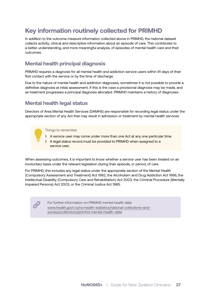# **Key information routinely collected for PRIMHD**

In addition to the outcome measure information collected above in PRIMHD, the national dataset collects activity, clinical and descriptive information about an episode of care. This contributes to a better understanding, and more meaningful analysis, of episodes of mental health care and their outcomes.

## **Mental health principal diagnosis**

PRIMHD requires a diagnosis for all mental health and addiction service users within 91 days of their first contact with the service or by the time of discharge.

Due to the nature of mental health and addiction diagnoses, sometimes it is not possible to provide a definitive diagnosis at initial assessment. If this is the case a provisional diagnosis may be made, and as treatment progresses a principal diagnosis allocated. PRIMHD maintains a history of diagnoses.

## **Mental health legal status**

Directors of Area Mental Health Services (DAMHS) are responsible for recording legal status under the appropriate section of any Act that may result in admission or treatment by mental health services.

Things to remember

É

- > A service user may come under more than one Act at any one particular time.
- > A legal status record must be provided to PRIMHD when assigned to a service user.

When assessing outcomes, it is important to know whether a service user has been treated on an involuntary basis under the relevant legislation during their episode, or period, of care.

For PRIMHD, this includes any legal status under the appropriate section of the Mental Health (Compulsory Assessment and Treatment) Act 1992, the Alcoholism and Drug Addiction Act 1966, the Intellectual Disability (Compulsory Care and Rehabilitation) Act 2003, the Criminal Procedure (Mentally Impaired Persons) Act 2003, or the Criminal Justice Act 1985.

> For further information on PRIMHD mental health data www.health.govt.nz/nz-health-statistics/national-collections-andsurveys/collections/primhd-mental-health-data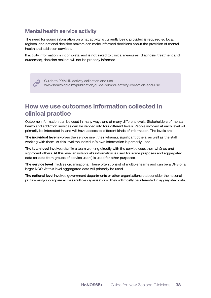### **Mental health service activity**

The need for sound information on what activity is currently being provided is required so local, regional and national decision makers can make informed decisions about the provision of mental health and addiction services.

If activity information is incomplete, and is not linked to clinical measures (diagnosis, treatment and outcomes), decision makers will not be properly informed.

> Guide to PRIMHD activity collection and use www.health.govt.nz/publication/guide-primhd-activity-collection-and-use

# **How we use outcomes information collected in clinical practice**

Outcome information can be used in many ways and at many different levels. Stakeholders of mental health and addiction services can be divided into four different levels. People involved at each level will primarily be interested in, and will have access to, different kinds of information. The levels are:

**The individual level** involves the service user, their whānau, significant others, as well as the staff working with them. At this level the individual's own information is primarily used.

**The team level** involves staff in a team working directly with the service user, their whānau and significant others. At this level an individual's information is used for some purposes and aggregated data (or data from groups of service users) is used for other purposes.

**The service level** involves organisations. These often consist of multiple teams and can be a DHB or a larger NGO. At this level aggregated data will primarily be used.

**The national level** involves government departments or other organisations that consider the national picture, and/or compare across multiple organisations. They will mostly be interested in aggregated data.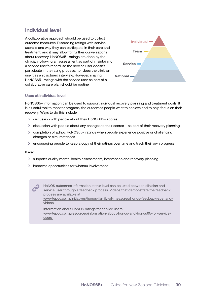#### **Individual level**

A collaborative approach should be used to collect outcome measures. Discussing ratings with service users is one way they can participate in their care and treatment, and it may allow for further conversations about recovery. HoNOS65+ ratings are done by the clinician following an assessment as part of maintaining a service user's record, so the service user doesn't participate in the rating process, nor does the clinician use it as a structured interview. However, sharing HoNOS65+ ratings with the service user as part of a collaborative care plan should be routine.



#### **Uses at individual level**

HoNOS65+ information can be used to support individual recovery planning and treatment goals. It is a useful tool to monitor progress, the outcomes people want to achieve and to help focus on their recovery. Ways to do this include:

- › discussion with people about their HoNOS65+ scores
- › discussion with people about any changes to their scores as part of their recovery planning
- › completion of adhoc HoNOS65+ ratings when people experience positive or challenging changes or circumstances
- › encouraging people to keep a copy of their ratings over time and track their own progress.

#### It also:

- › supports quality mental health assessments, intervention and recovery planning
- › improves opportunities for whānau involvement.

HoNOS outcomes information at this level can be u*s*ed between clinician and service user through a feedback process. Videos that demonstrate the feedback process are available at

www.tepou.co.nz/initiatives/honos-family-of-measures/honos-feedback-scenariovideos

Information about HoNOS ratings for service users www.tepou.co.nz/resources/information-about-honos-and-honos65-for-serviceusers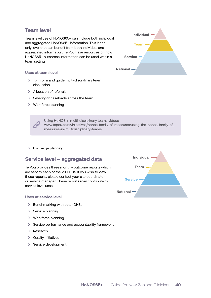#### **Team level**

Team level use of HoNOS65+ can include both individual and aggregated HoNOS65+ information. This is the only level that can benefit from both individual and aggregated information. Te Pou have resources on how HoNOS65+ outcomes information can be used within a team setting.

#### **Uses at team level**

- › To inform and guide multi-disciplinary team discussion
- > Allocation of referrals
- › Severity of caseloads across the team
- › Workforce planning



Using HoNOS in multi-disciplinary teams videos www.tepou.co.nz/initiatives/honos-family-of-measures/using-the-honos-family-ofmeasures-in-multidisciplinary-teams

› Discharge planning.

#### **Service level – aggregated data**

Te Pou provides three monthly outcome reports which are sent to each of the 20 DHBs. If you wish to view these reports, please contact your site coordinator or service manager. These reports may contribute to service level uses.

#### **Uses at service level**

- › Benchmarking with other DHBs
- > Service planning
- › Workforce planning
- › Service performance and accountability framework
- > Research
- › Quality initiatives
- › Service development.

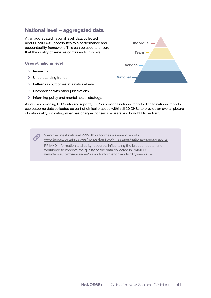### **National level – aggregated data**

At an aggregated national level, data collected about HoNOS65+ contributes to a performance and accountability framework. This can be used to ensure that the quality of services continues to improve.

#### **Uses at national level**

- > Research
- > Understanding trends
- > Patterns in outcomes at a national level
- › Comparison with other jurisdictions
- › Informing policy and mental health strategy.



As well as providing DHB outcome reports, Te Pou provides national reports. These national reports use outcome data collected as part of clinical practice within all 20 DHBs to provide an overall picture of data quality, indicating what has changed for service users and how DHBs perform.

> View the latest national PRIMHD outcomes summary reports www.tepou.co.nz/initiatives/honos-family-of-measures/national-honos-reports

PRIMHD information and utility resource: Influencing the broader sector and workforce to improve the quality of the data collected in PRIMHD www.tepou.co.nz/resources/primhd-information-and-utility-resource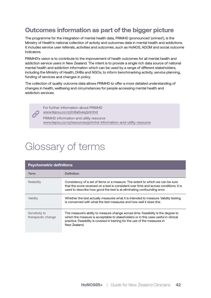# **Outcomes information as part of the bigger picture**

The programme for the integration of mental health data, PRIMHD (pronounced 'primed'), is the Ministry of Health's national collection of activity and outcomes data in mental health and addictions. It includes service user referrals, activities and outcomes, such as HoNOS, ADOM and social outcome indicators.

PRIMHD's vision is to contribute to the improvement of health outcomes for all mental health and addiction service users in New Zealand. The intent is to provide a single rich data source of national mental health and addiction information which can be used by a range of different stakeholders, including the Ministry of Health, DHBs and NGOs, to inform benchmarking activity, service planning, funding of services and changes in policy.

The collection of quality outcome data allows PRIMHD to offer a more detailed understanding of changes in health, wellbeing and circumstances for people accessing mental health and addiction services.

> For further information about PRIMHD www.tepou.co.nz/initiatives/primhd

PRIMHD information and utility resource www.tepou.co.nz/resources/primhd-information-and-utility-resource

# Glossary of terms

| <b>Psychometric definitions</b>      |                                                                                                                                                                                                                                                                        |  |
|--------------------------------------|------------------------------------------------------------------------------------------------------------------------------------------------------------------------------------------------------------------------------------------------------------------------|--|
| Term                                 | <b>Definition</b>                                                                                                                                                                                                                                                      |  |
| Reliability                          | Consistency of a set of items or a measure. The extent to which we can be sure<br>that the score received on a test is consistent over time and across conditions. It is<br>used to describe how good the test is at eliminating confounding error.                    |  |
| Validity                             | Whether the test actually measures what it is intended to measure. Validity testing<br>is concerned with what the test measures and how well it does this.                                                                                                             |  |
| Sensitivity to<br>therapeutic change | The measure's ability to measure change across time. Feasibility is the degree to<br>which the measure is acceptable to stakeholders or in this case useful in clinical<br>practice. Feasibility is covered in training for the use of the measures in<br>New Zealand. |  |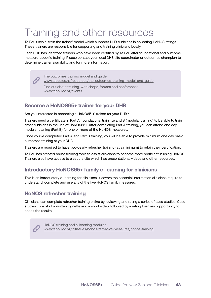# Training and other resources

Te Pou uses a 'train the trainer' model which supports DHB clinicians in collecting HoNOS ratings. These trainers are responsible for supporting and training clinicians locally.

Each DHB has identified trainers who have been certified by Te Pou after foundational and outcome measure-specific training. Please contact your local DHB site coordinator or outcomes champion to determine trainer availability and for more information.

The outcomes training model and guide

www.tepou.co.nz/resources/the-outcomes-training-model-and-guide

Find out about training, workshops, forums and conferences www.tepou.co.nz/events

## **Become a HoNOS65+ trainer for your DHB**

Are you interested in becoming a HoNO65+S trainer for your DHB?

Trainers need a certificate in Part A (foundational training) and B (modular training) to be able to train other clinicians in the use of HoNOS65+. After completing Part A training, you can attend one day modular training (Part B) for one or more of the HoNOS measures.

Once you've completed Part A and Part B training, you will be able to provide minimum one day basic outcomes training at your DHB.

Trainers are required to have two-yearly refresher training (at a minimum) to retain their certification.

Te Pou has created online training tools to assist clinicians to become more proficient in using HoNOS. Trainers also have access to a secure site which has presentations, videos and other resources.

## **Introductory HoNOS65+ family e-learning for clinicians**

This is an introductory e-learning for clinicians. It covers the essential information clinicians require to understand, complete and use any of the five HoNOS family measures.

### **HoNOS refresher training**

Clinicians can complete refresher training online by reviewing and rating a series of case studies. Case studies consist of a written vignette and a short video, followed by a rating form and opportunity to check the results.

HoNOS training and e-learning modules www.tepou.co.nz/initiatives/honos-family-of-measures/honos-training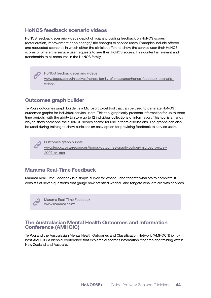#### **HoNOS feedback scenario videos**

HoNOS feedback scenario videos depict clinicians providing feedback on HoNOS scores (deterioration, improvement or no change/little change) to service users. Examples include offered and requested scenarios in which either the clinician offers to show the service user their HoNOS scores or where the service user requests to see their HoNOS scores. This content is relevant and transferable to all measures in the HoNOS family.

> HoNOS feedback scenario videos www.tepou.co.nz/initiatives/honos-family-of-measures/honos-feedback-scenariovideos

#### **Outcomes graph builder**

Te Pou's outcomes graph builder is a Microsoft Excel tool that can be used to generate HoNOS outcomes graphs for individual service users. This tool graphically presents information for up to three time periods, with the ability to store up to 12 individual collections of information. This tool is a handy way to show someone their HoNOS scores and/or for use in team discussions. The graphs can also be used during training to show clinicians an easy option for providing feedback to service users.

Outcomes graph builder

www.tepou.co.nz/resources/honos-outcomes-graph-builder-microsoft-excel-2007-or-later

#### **Marama Real-Time Feedback**

Marama Real-Time Feedback is a simple survey for whānau and tāngata whai ora to complete. It consists of seven questions that gauge how satisfied whānau and tāngata whai ora are with services.

Marama Real-Time Feedback www.marama.co.nz

#### **The Australasian Mental Health Outcomes and Information Conference (AMHOIC)**

Te Pou and the Australasian Mental Health Outcomes and Classification Network (AMHOCN) jointly host AMHOIC, a biennial conference that explores outcomes information research and training within New Zealand and Australia.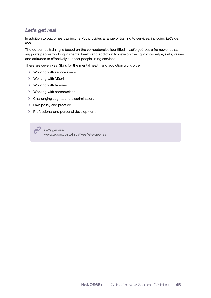### *Let's get real*

In addition to outcomes training, Te Pou provides a range of training to services, including *Let's get real*.

The outcomes training is based on the competencies identified in *Let's get real*, a framework that supports people working in mental health and addiction to develop the right knowledge, skills, values and attitudes to effectively support people using services.

There are seven Real Skills for the mental health and addiction workforce.

- › Working with service users.
- › Working with Māori.
- › Working with families.
- › Working with communities.
- › Challenging stigma and discrimination.
- > Law, policy and practice.
- › Professional and personal development.

*Let's get real* www.tepou.co.nz/initiatives/lets-get-real